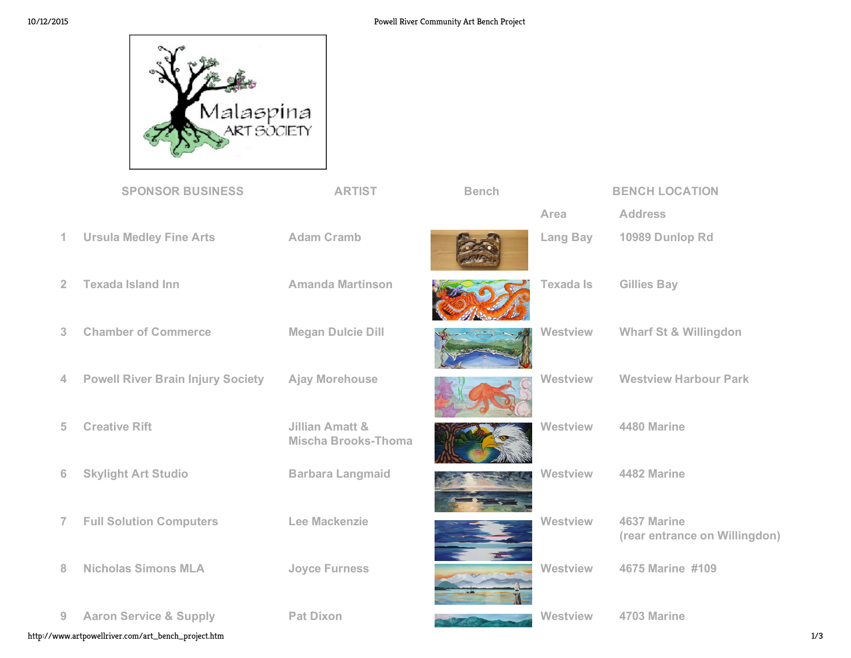

|                                                            | <b>SPONSOR BUSINESS</b>                  | <b>ARTIST</b>                                            | <b>Bench</b> |                  | <b>BENCH LOCATION</b>                        |  |
|------------------------------------------------------------|------------------------------------------|----------------------------------------------------------|--------------|------------------|----------------------------------------------|--|
|                                                            |                                          |                                                          |              | Area             | <b>Address</b>                               |  |
| 1                                                          | <b>Ursula Medley Fine Arts</b>           | <b>Adam Cramb</b>                                        |              | <b>Lang Bay</b>  | 10989 Dunlop Rd                              |  |
| $\overline{2}$                                             | <b>Texada Island Inn</b>                 | <b>Amanda Martinson</b>                                  |              | <b>Texada Is</b> | <b>Gillies Bay</b>                           |  |
| 3                                                          | <b>Chamber of Commerce</b>               | <b>Megan Dulcie Dill</b>                                 |              | Westview         | <b>Wharf St &amp; Willingdon</b>             |  |
| 4                                                          | <b>Powell River Brain Injury Society</b> | <b>Ajay Morehouse</b>                                    |              | Westview         | <b>Westview Harbour Park</b>                 |  |
| 5                                                          | <b>Creative Rift</b>                     | <b>Jillian Amatt &amp;</b><br><b>Mischa Brooks-Thoma</b> |              | Westview         | 4480 Marine                                  |  |
| 6                                                          | <b>Skylight Art Studio</b>               | <b>Barbara Langmaid</b>                                  |              | Westview         | 4482 Marine                                  |  |
| $\overline{7}$                                             | <b>Full Solution Computers</b>           | <b>Lee Mackenzie</b>                                     |              | Westview         | 4637 Marine<br>(rear entrance on Willingdon) |  |
| 8                                                          | <b>Nicholas Simons MLA</b>               | <b>Joyce Furness</b>                                     |              | Westview         | 4675 Marine #109                             |  |
| $\overline{9}$                                             | <b>Aaron Service &amp; Supply</b>        | <b>Pat Dixon</b>                                         |              | Westview         | 4703 Marine                                  |  |
| http://www.artpowellriver.com/art_bench_project.htm<br>1/3 |                                          |                                                          |              |                  |                                              |  |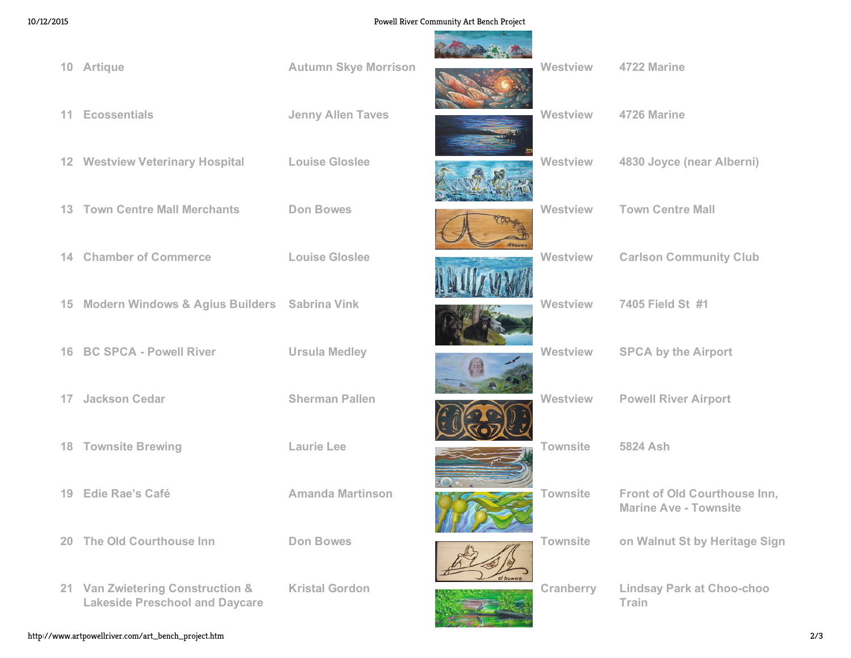## 10/12/2015 Powell River Community Art Bench Project

**Seattle Controller** 

| 10 <sup>°</sup> | Artique                                                                   | <b>Autumn Skye Morrison</b> |              | <b>Westview</b> | 4722 Marine                                                  |
|-----------------|---------------------------------------------------------------------------|-----------------------------|--------------|-----------------|--------------------------------------------------------------|
| $11 -$          | <b>Ecossentials</b>                                                       | <b>Jenny Allen Taves</b>    |              | Westview        | 4726 Marine                                                  |
|                 | 12 Westview Veterinary Hospital                                           | <b>Louise Gloslee</b>       |              | Westview        | 4830 Joyce (near Alberni)                                    |
|                 | <b>13 Town Centre Mall Merchants</b>                                      | <b>Don Bowes</b>            |              | Westview        | <b>Town Centre Mall</b>                                      |
| 14.             | <b>Chamber of Commerce</b>                                                | <b>Louise Gloslee</b>       | <b>abone</b> | Westview        | <b>Carlson Community Club</b>                                |
| 15 <sub>1</sub> | Modern Windows & Agius Builders Sabrina Vink                              |                             |              | Westview        | 7405 Field St #1                                             |
| 16 <sup>1</sup> | <b>BC SPCA - Powell River</b>                                             | <b>Ursula Medley</b>        |              | <b>Westview</b> | <b>SPCA by the Airport</b>                                   |
| 17              | <b>Jackson Cedar</b>                                                      | <b>Sherman Pallen</b>       |              | Westview        | <b>Powell River Airport</b>                                  |
| 18              | <b>Townsite Brewing</b>                                                   | <b>Laurie Lee</b>           |              | <b>Townsite</b> | 5824 Ash                                                     |
| 19.             | Edie Rae's Café                                                           | <b>Amanda Martinson</b>     |              | <b>Townsite</b> | Front of Old Courthouse Inn,<br><b>Marine Ave - Townsite</b> |
| 20 <sup>°</sup> | The Old Courthouse Inn                                                    | <b>Don Bowes</b>            |              | <b>Townsite</b> | on Walnut St by Heritage Sign                                |
|                 | 21 Van Zwietering Construction &<br><b>Lakeside Preschool and Daycare</b> | <b>Kristal Gordon</b>       | d bowes      | Cranberry       | <b>Lindsay Park at Choo-choo</b><br>Train                    |

http://www.artpowellriver.com/art\_bench\_project.htm 2/3